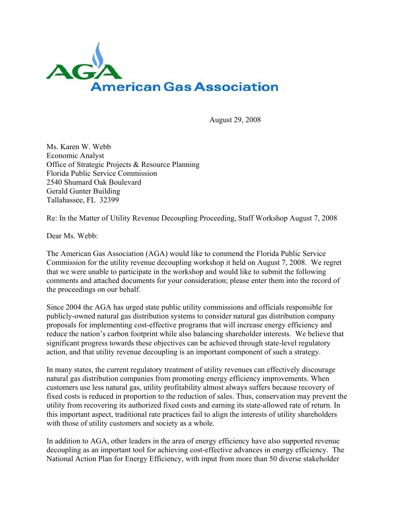

August 29, 2008

Ms. Karen W. Webb Economic Analyst Office of Strategic Projects & Resource Planning Florida Public Service Commission 2540 Shumard Oak Boulevard Gerald Gunter Building Tallahassee, FL 32399

Re: In the Matter of Utility Revenue Decoupling Proceeding, Staff Workshop August 7, 2008

Dear Ms. Webb:

The American Gas Association (AGA) would like to commend the Florida Public Service Commission for the utility revenue decoupling workshop it held on August 7, 2008. We regret that we were unable to participate in the workshop and would like to submit the following comments and attached documents for your consideration; please enter them into the record of the proceedings on our behalf.

Since 2004 the AGA has urged state public utility commissions and officials responsible for publicly-owned natural gas distribution systems to consider natural gas distribution company proposals for implementing cost-effective programs that will increase energy efficiency and reduce the nation's carbon footprint while also balancing shareholder interests. We believe that significant progress towards these objectives can be achieved through state-level regulatory action, and that utility revenue decoupling is an important component of such a strategy.

In many states, the current regulatory treatment of utility revenues can effectively discourage natural gas distribution companies from promoting energy efficiency improvements. When customers use less natural gas, utility profitability almost always suffers because recovery of fixed costs is reduced in proportion to the reduction of sales. Thus, conservation may prevent the utility from recovering its authorized fixed costs and earning its state-allowed rate of return. In this important aspect, traditional rate practices fail to align the interests of utility shareholders with those of utility customers and society as a whole.

In addition to AGA, other leaders in the area of energy efficiency have also supported revenue decoupling as an important tool for achieving cost-effective advances in energy efficiency. The National Action Plan for Energy Efficiency, with input from more than 50 diverse stakeholder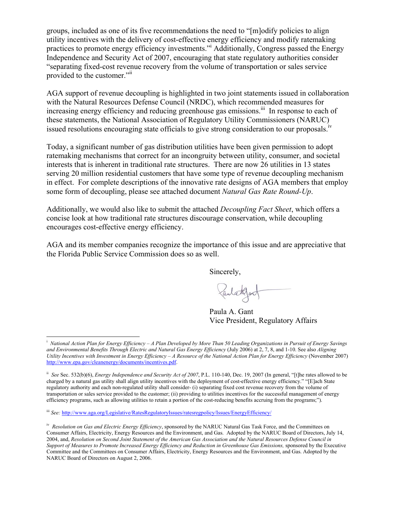groups, included as one of its five recommendations the need to "[m]odify policies to align utility incentives with the delivery of cost-effective energy efficiency and modify ratemaking practices to promote energy efficiency investments."i Additionally, Congress passed the Energy Independence and Security Act of 2007, encouraging that state regulatory authorities consider "separating fixed-cost revenue recovery from the volume of transportation or sales service provided to the customer."ii

AGA support of revenue decoupling is highlighted in two joint statements issued in collaboration with the Natural Resources Defense Council (NRDC), which recommended measures for increasing energy efficiency and reducing greenhouse gas emissions.<sup>iii</sup> In response to each of these statements, the National Association of Regulatory Utility Commissioners (NARUC) issued resolutions encouraging state officials to give strong consideration to our proposals.<sup>iv</sup>

Today, a significant number of gas distribution utilities have been given permission to adopt ratemaking mechanisms that correct for an incongruity between utility, consumer, and societal interests that is inherent in traditional rate structures. There are now 26 utilities in 13 states serving 20 million residential customers that have some type of revenue decoupling mechanism in effect. For complete descriptions of the innovative rate designs of AGA members that employ some form of decoupling, please see attached document *Natural Gas Rate Round-Up*.

Additionally, we would also like to submit the attached *Decoupling Fact Sheet*, which offers a concise look at how traditional rate structures discourage conservation, while decoupling encourages cost-effective energy efficiency.

AGA and its member companies recognize the importance of this issue and are appreciative that the Florida Public Service Commission does so as well.

Sincerely,

Paulathort

Paula A. Gant Vice President, Regulatory Affairs

 $\overline{\phantom{a}}$ i *National Action Plan for Energy Efficiency – A Plan Developed by More Than 50 Leading Organizations in Pursuit of Energy Savings and Environmental Benefits Through Electric and Natural Gas Energy Efficiency* (July 2006) at 2, 7, 8, and 1-10. See also *Aligning Utility Incentives with Investment in Energy Efficiency – A Resource of the National Action Plan for Energy Efficiency* (November 2007) http://www.epa.gov/cleanenergy/documents/incentives.pdf.

ii *See* Sec. 532(b)(6), *Energy Independence and Security Act of 2007*, P.L. 110-140, Dec. 19, 2007 (In general, "[t]he rates allowed to be charged by a natural gas utility shall align utility incentives with the deployment of cost-effective energy efficiency." "[E]ach State regulatory authority and each non-regulated utility shall consider- (i) separating fixed cost revenue recovery from the volume of transportation or sales service provided to the customer; (ii) providing to utilities incentives for the successful management of energy efficiency programs, such as allowing utilities to retain a portion of the cost-reducing benefits accruing from the programs;").

iii *See:* http://www.aga.org/Legislative/RatesRegulatoryIssues/ratesregpolicy/Issues/EnergyEfficiency/

iv *Resolution on Gas and Electric Energy Efficiency*, sponsored by the NARUC Natural Gas Task Force, and the Committees on Consumer Affairs, Electricity, Energy Resources and the Environment, and Gas. Adopted by the NARUC Board of Directors, July 14, 2004, and, *Resolution on Second Joint Statement of the American Gas Association and the Natural Resources Defense Council in Support of Measures to Promote Increased Energy Efficiency and Reduction in Greenhouse Gas Emissions,* sponsored by the Executive Committee and the Committees on Consumer Affairs, Electricity, Energy Resources and the Environment, and Gas. Adopted by the NARUC Board of Directors on August 2, 2006.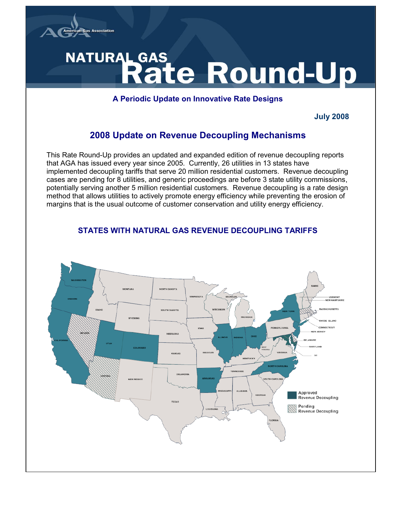

# NATURAL GAS ate Round-Up

#### **A Periodic Update on Innovative Rate Designs**

#### **July 2008**

# **2008 Update on Revenue Decoupling Mechanisms**

This Rate Round-Up provides an updated and expanded edition of revenue decoupling reports that AGA has issued every year since 2005. Currently, 26 utilities in 13 states have implemented decoupling tariffs that serve 20 million residential customers. Revenue decoupling cases are pending for 8 utilities, and generic proceedings are before 3 state utility commissions, potentially serving another 5 million residential customers. Revenue decoupling is a rate design method that allows utilities to actively promote energy efficiency while preventing the erosion of margins that is the usual outcome of customer conservation and utility energy efficiency.

## **STATES WITH NATURAL GAS REVENUE DECOUPLING TARIFFS**

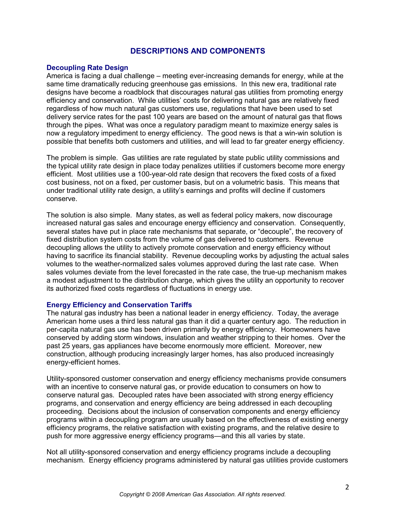#### **DESCRIPTIONS AND COMPONENTS**

#### **Decoupling Rate Design**

America is facing a dual challenge – meeting ever-increasing demands for energy, while at the same time dramatically reducing greenhouse gas emissions. In this new era, traditional rate designs have become a roadblock that discourages natural gas utilities from promoting energy efficiency and conservation. While utilities' costs for delivering natural gas are relatively fixed regardless of how much natural gas customers use, regulations that have been used to set delivery service rates for the past 100 years are based on the amount of natural gas that flows through the pipes. What was once a regulatory paradigm meant to maximize energy sales is now a regulatory impediment to energy efficiency. The good news is that a win-win solution is possible that benefits both customers and utilities, and will lead to far greater energy efficiency.

The problem is simple. Gas utilities are rate regulated by state public utility commissions and the typical utility rate design in place today penalizes utilities if customers become more energy efficient. Most utilities use a 100-year-old rate design that recovers the fixed costs of a fixed cost business, not on a fixed, per customer basis, but on a volumetric basis. This means that under traditional utility rate design, a utility's earnings and profits will decline if customers conserve.

The solution is also simple. Many states, as well as federal policy makers, now discourage increased natural gas sales and encourage energy efficiency and conservation. Consequently, several states have put in place rate mechanisms that separate, or "decouple", the recovery of fixed distribution system costs from the volume of gas delivered to customers. Revenue decoupling allows the utility to actively promote conservation and energy efficiency without having to sacrifice its financial stability. Revenue decoupling works by adjusting the actual sales volumes to the weather-normalized sales volumes approved during the last rate case. When sales volumes deviate from the level forecasted in the rate case, the true-up mechanism makes a modest adjustment to the distribution charge, which gives the utility an opportunity to recover its authorized fixed costs regardless of fluctuations in energy use.

#### **Energy Efficiency and Conservation Tariffs**

The natural gas industry has been a national leader in energy efficiency. Today, the average American home uses a third less natural gas than it did a quarter century ago. The reduction in per-capita natural gas use has been driven primarily by energy efficiency. Homeowners have conserved by adding storm windows, insulation and weather stripping to their homes. Over the past 25 years, gas appliances have become enormously more efficient. Moreover, new construction, although producing increasingly larger homes, has also produced increasingly energy-efficient homes.

Utility-sponsored customer conservation and energy efficiency mechanisms provide consumers with an incentive to conserve natural gas, or provide education to consumers on how to conserve natural gas. Decoupled rates have been associated with strong energy efficiency programs, and conservation and energy efficiency are being addressed in each decoupling proceeding. Decisions about the inclusion of conservation components and energy efficiency programs within a decoupling program are usually based on the effectiveness of existing energy efficiency programs, the relative satisfaction with existing programs, and the relative desire to push for more aggressive energy efficiency programs—and this all varies by state.

Not all utility-sponsored conservation and energy efficiency programs include a decoupling mechanism. Energy efficiency programs administered by natural gas utilities provide customers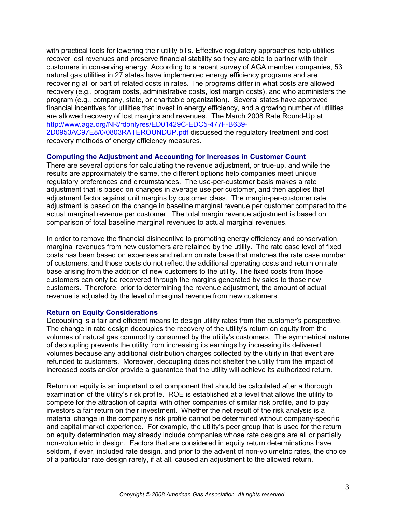with practical tools for lowering their utility bills. Effective regulatory approaches help utilities recover lost revenues and preserve financial stability so they are able to partner with their customers in conserving energy. According to a recent survey of AGA member companies, 53 natural gas utilities in 27 states have implemented energy efficiency programs and are recovering all or part of related costs in rates. The programs differ in what costs are allowed recovery (e.g., program costs, administrative costs, lost margin costs), and who administers the program (e.g., company, state, or charitable organization). Several states have approved financial incentives for utilities that invest in energy efficiency, and a growing number of utilities are allowed recovery of lost margins and revenues. The March 2008 Rate Round-Up at http://www.aga.org/NR/rdonlyres/ED01429C-EDC5-477F-B639- 2D0953AC97E8/0/0803RATEROUNDUP.pdf discussed the regulatory treatment and cost recovery methods of energy efficiency measures.

#### **Computing the Adjustment and Accounting for Increases in Customer Count**

There are several options for calculating the revenue adjustment, or true-up, and while the results are approximately the same, the different options help companies meet unique regulatory preferences and circumstances. The use-per-customer basis makes a rate adjustment that is based on changes in average use per customer, and then applies that adjustment factor against unit margins by customer class. The margin-per-customer rate adjustment is based on the change in baseline marginal revenue per customer compared to the actual marginal revenue per customer. The total margin revenue adjustment is based on comparison of total baseline marginal revenues to actual marginal revenues.

In order to remove the financial disincentive to promoting energy efficiency and conservation, marginal revenues from new customers are retained by the utility. The rate case level of fixed costs has been based on expenses and return on rate base that matches the rate case number of customers, and those costs do not reflect the additional operating costs and return on rate base arising from the addition of new customers to the utility. The fixed costs from those customers can only be recovered through the margins generated by sales to those new customers. Therefore, prior to determining the revenue adjustment, the amount of actual revenue is adjusted by the level of marginal revenue from new customers.

#### **Return on Equity Considerations**

Decoupling is a fair and efficient means to design utility rates from the customer's perspective. The change in rate design decouples the recovery of the utility's return on equity from the volumes of natural gas commodity consumed by the utility's customers. The symmetrical nature of decoupling prevents the utility from increasing its earnings by increasing its delivered volumes because any additional distribution charges collected by the utility in that event are refunded to customers. Moreover, decoupling does not shelter the utility from the impact of increased costs and/or provide a guarantee that the utility will achieve its authorized return.

Return on equity is an important cost component that should be calculated after a thorough examination of the utility's risk profile. ROE is established at a level that allows the utility to compete for the attraction of capital with other companies of similar risk profile, and to pay investors a fair return on their investment. Whether the net result of the risk analysis is a material change in the company's risk profile cannot be determined without company-specific and capital market experience. For example, the utility's peer group that is used for the return on equity determination may already include companies whose rate designs are all or partially non-volumetric in design. Factors that are considered in equity return determinations have seldom, if ever, included rate design, and prior to the advent of non-volumetric rates, the choice of a particular rate design rarely, if at all, caused an adjustment to the allowed return.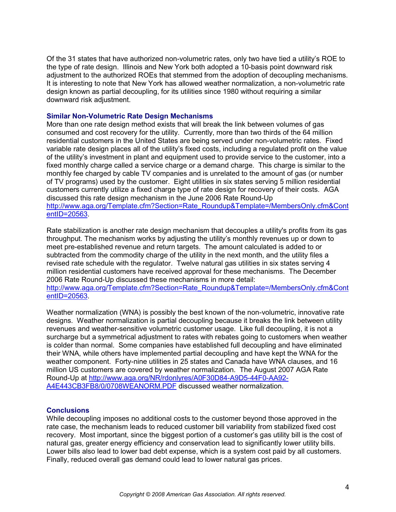Of the 31 states that have authorized non-volumetric rates, only two have tied a utility's ROE to the type of rate design. Illinois and New York both adopted a 10-basis point downward risk adjustment to the authorized ROEs that stemmed from the adoption of decoupling mechanisms. It is interesting to note that New York has allowed weather normalization, a non-volumetric rate design known as partial decoupling, for its utilities since 1980 without requiring a similar downward risk adjustment.

#### **Similar Non-Volumetric Rate Design Mechanisms**

More than one rate design method exists that will break the link between volumes of gas consumed and cost recovery for the utility. Currently, more than two thirds of the 64 million residential customers in the United States are being served under non-volumetric rates. Fixed variable rate design places all of the utility's fixed costs, including a regulated profit on the value of the utility's investment in plant and equipment used to provide service to the customer, into a fixed monthly charge called a service charge or a demand charge. This charge is similar to the monthly fee charged by cable TV companies and is unrelated to the amount of gas (or number of TV programs) used by the customer. Eight utilities in six states serving 5 million residential customers currently utilize a fixed charge type of rate design for recovery of their costs. AGA discussed this rate design mechanism in the June 2006 Rate Round-Up http://www.aga.org/Template.cfm?Section=Rate\_Roundup&Template=/MembersOnly.cfm&Cont entID=20563.

Rate stabilization is another rate design mechanism that decouples a utility's profits from its gas throughput. The mechanism works by adjusting the utility's monthly revenues up or down to meet pre-established revenue and return targets. The amount calculated is added to or subtracted from the commodity charge of the utility in the next month, and the utility files a revised rate schedule with the regulator. Twelve natural gas utilities in six states serving 4 million residential customers have received approval for these mechanisms. The December 2006 Rate Round-Up discussed these mechanisms in more detail:

http://www.aga.org/Template.cfm?Section=Rate\_Roundup&Template=/MembersOnly.cfm&Cont entID=20563.

Weather normalization (WNA) is possibly the best known of the non-volumetric, innovative rate designs. Weather normalization is partial decoupling because it breaks the link between utility revenues and weather-sensitive volumetric customer usage. Like full decoupling, it is not a surcharge but a symmetrical adjustment to rates with rebates going to customers when weather is colder than normal. Some companies have established full decoupling and have eliminated their WNA, while others have implemented partial decoupling and have kept the WNA for the weather component. Forty-nine utilities in 25 states and Canada have WNA clauses, and 16 million US customers are covered by weather normalization. The August 2007 AGA Rate Round-Up at http://www.aga.org/NR/rdonlyres/A0F30D84-A9D5-44F0-AA92- A4E443CB3FB8/0/0708WEANORM.PDF discussed weather normalization.

#### **Conclusions**

While decoupling imposes no additional costs to the customer beyond those approved in the rate case, the mechanism leads to reduced customer bill variability from stabilized fixed cost recovery. Most important, since the biggest portion of a customer's gas utility bill is the cost of natural gas, greater energy efficiency and conservation lead to significantly lower utility bills. Lower bills also lead to lower bad debt expense, which is a system cost paid by all customers. Finally, reduced overall gas demand could lead to lower natural gas prices.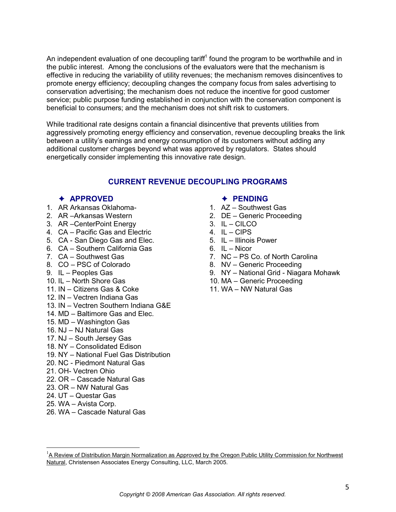An independent evaluation of one decoupling tariff<sup>1</sup> found the program to be worthwhile and in the public interest. Among the conclusions of the evaluators were that the mechanism is effective in reducing the variability of utility revenues; the mechanism removes disincentives to promote energy efficiency; decoupling changes the company focus from sales advertising to conservation advertising; the mechanism does not reduce the incentive for good customer service; public purpose funding established in conjunction with the conservation component is beneficial to consumers; and the mechanism does not shift risk to customers.

While traditional rate designs contain a financial disincentive that prevents utilities from aggressively promoting energy efficiency and conservation, revenue decoupling breaks the link between a utility's earnings and energy consumption of its customers without adding any additional customer charges beyond what was approved by regulators. States should energetically consider implementing this innovative rate design.

#### **CURRENT REVENUE DECOUPLING PROGRAMS**

#### Ê **APPROVED**

- 1. AR Arkansas Oklahoma-
- 2. AR Arkansas Western
- 3. AR Center Point Energy
- 4. CA Pacific Gas and Electric
- 5. CA San Diego Gas and Elec.
- 6. CA Southern California Gas
- 7.  $CA -$  Southwest Gas
- 8. CO PSC of Colorado
- 9. IL Peoples Gas
- 10.  $IL North$  Shore Gas
- 11.  $IN Citizens Gas & Coke$
- 12. IN Vectren Indiana Gas
- 13. IN Vectren Southern Indiana G&E
- 14. MD Baltimore Gas and Elec.
- 15.  $MD Washington$  Gas
- 16.  $NJ NJ$  Natural Gas
- 17. NJ South Jersey Gas
- 18. NY Consolidated Edison
- 19. NY National Fuel Gas Distribution

Natural, Christensen Associates Energy Consulting, LLC, March 2005.

- 20. NC Piedmont Natural Gas
- 21. OH- Vectren Ohio
- 22. OR = Cascade Natural Gas
- 23. OR NW Natural Gas
- $24. UT Questar Gas$
- 25. WA Avista Corp.

 $\overline{a}$ 

26. WA - Cascade Natural Gas

#### Ê **PENDING**

- 1.  $AZ -$  Southwest Gas
- 2.  $DE -$  Generic Proceeding
- $3. \quad IL CILCO$
- 4.  $IL CIPS$
- 5. IL Illinois Power
- $6$   $\parallel$   $\perp$  Nicor
- 7. NC PS Co. of North Carolina
- 8. NV Generic Proceeding
- 9. NY National Grid Niagara Mohawk
- 10. MA Generic Proceeding
- 11. WA NW Natural Gas

<sup>1</sup>A Review of Distribution Margin Normalization as Approved by the Oregon Public Utility Commission for Northwest

*Copyright © 2008 American Gas Association. All rights reserved.*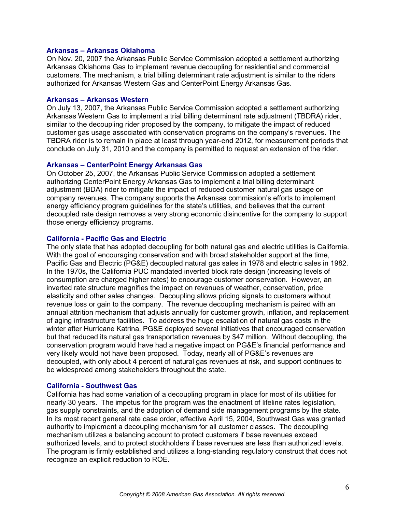#### **Arkansas ± Arkansas Oklahoma**

On Nov. 20, 2007 the Arkansas Public Service Commission adopted a settlement authorizing Arkansas Oklahoma Gas to implement revenue decoupling for residential and commercial customers. The mechanism, a trial billing determinant rate adjustment is similar to the riders authorized for Arkansas Western Gas and CenterPoint Energy Arkansas Gas.

#### **Arkansas ± Arkansas Western**

On July 13, 2007, the Arkansas Public Service Commission adopted a settlement authorizing Arkansas Western Gas to implement a trial billing determinant rate adjustment (TBDRA) rider, similar to the decoupling rider proposed by the company, to mitigate the impact of reduced customer gas usage associated with conservation programs on the company's revenues. The TBDRA rider is to remain in place at least through year-end 2012, for measurement periods that conclude on July 31, 2010 and the company is permitted to request an extension of the rider.

#### **Arkansas ± CenterPoint Energy Arkansas Gas**

On October 25, 2007, the Arkansas Public Service Commission adopted a settlement authorizing CenterPoint Energy Arkansas Gas to implement a trial billing determinant adjustment (BDA) rider to mitigate the impact of reduced customer natural gas usage on company revenues. The company supports the Arkansas commission's efforts to implement energy efficiency program guidelines for the state's utilities, and believes that the current decoupled rate design removes a very strong economic disincentive for the company to support those energy efficiency programs.

#### **California - Pacific Gas and Electric**

The only state that has adopted decoupling for both natural gas and electric utilities is California. With the goal of encouraging conservation and with broad stakeholder support at the time, Pacific Gas and Electric (PG&E) decoupled natural gas sales in 1978 and electric sales in 1982. In the 1970s, the California PUC mandated inverted block rate design (increasing levels of consumption are charged higher rates) to encourage customer conservation. However, an inverted rate structure magnifies the impact on revenues of weather, conservation, price elasticity and other sales changes. Decoupling allows pricing signals to customers without revenue loss or gain to the company. The revenue decoupling mechanism is paired with an annual attrition mechanism that adjusts annually for customer growth, inflation, and replacement of aging infrastructure facilities. To address the huge escalation of natural gas costs in the winter after Hurricane Katrina, PG&E deployed several initiatives that encouraged conservation but that reduced its natural gas transportation revenues by \$47 million. Without decoupling, the conservation program would have had a negative impact on PG&E's financial performance and very likely would not have been proposed. Today, nearly all of PG&E's revenues are decoupled, with only about 4 percent of natural gas revenues at risk, and support continues to be widespread among stakeholders throughout the state.

#### **California - Southwest Gas**

California has had some variation of a decoupling program in place for most of its utilities for nearly 30 years. The impetus for the program was the enactment of lifeline rates legislation, gas supply constraints, and the adoption of demand side management programs by the state. In its most recent general rate case order, effective April 15, 2004, Southwest Gas was granted authority to implement a decoupling mechanism for all customer classes. The decoupling mechanism utilizes a balancing account to protect customers if base revenues exceed authorized levels, and to protect stockholders if base revenues are less than authorized levels. The program is firmly established and utilizes a long-standing regulatory construct that does not recognize an explicit reduction to ROE.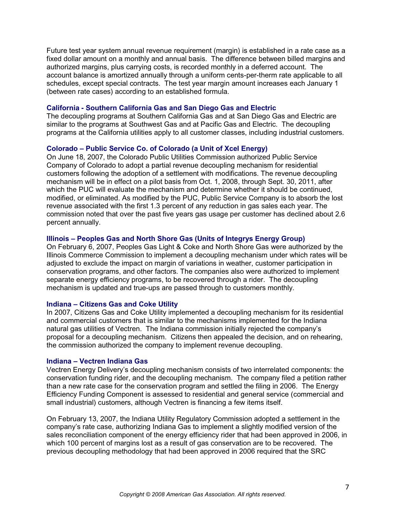Future test year system annual revenue requirement (margin) is established in a rate case as a fixed dollar amount on a monthly and annual basis. The difference between billed margins and authorized margins, plus carrying costs, is recorded monthly in a deferred account. The account balance is amortized annually through a uniform cents-per-therm rate applicable to all schedules, except special contracts. The test year margin amount increases each January 1 (between rate cases) according to an established formula.

#### **California - Southern California Gas and San Diego Gas and Electric**

The decoupling programs at Southern California Gas and at San Diego Gas and Electric are similar to the programs at Southwest Gas and at Pacific Gas and Electric. The decoupling programs at the California utilities apply to all customer classes, including industrial customers.

#### **Colorado ± Public Service Co. of Colorado (a Unit of Xcel Energy)**

On June 18, 2007, the Colorado Public Utilities Commission authorized Public Service Company of Colorado to adopt a partial revenue decoupling mechanism for residential customers following the adoption of a settlement with modifications. The revenue decoupling mechanism will be in effect on a pilot basis from Oct. 1, 2008, through Sept. 30, 2011, after which the PUC will evaluate the mechanism and determine whether it should be continued, modified, or eliminated. As modified by the PUC, Public Service Company is to absorb the lost revenue associated with the first 1.3 percent of any reduction in gas sales each year. The commission noted that over the past five years gas usage per customer has declined about 2.6 percent annually.

#### **Illinois ± Peoples Gas and North Shore Gas (Units of Integrys Energy Group)**

On February 6, 2007, Peoples Gas Light & Coke and North Shore Gas were authorized by the Illinois Commerce Commission to implement a decoupling mechanism under which rates will be adjusted to exclude the impact on margin of variations in weather, customer participation in conservation programs, and other factors. The companies also were authorized to implement separate energy efficiency programs, to be recovered through a rider. The decoupling mechanism is updated and true-ups are passed through to customers monthly.

#### **Indiana ± Citizens Gas and Coke Utility**

In 2007, Citizens Gas and Coke Utility implemented a decoupling mechanism for its residential and commercial customers that is similar to the mechanisms implemented for the Indiana natural gas utilities of Vectren. The Indiana commission initially rejected the company's proposal for a decoupling mechanism. Citizens then appealed the decision, and on rehearing, the commission authorized the company to implement revenue decoupling.

#### **Indiana ± Vectren Indiana Gas**

Vectren Energy Delivery's decoupling mechanism consists of two interrelated components: the conservation funding rider, and the decoupling mechanism. The company filed a petition rather than a new rate case for the conservation program and settled the filing in 2006. The Energy Efficiency Funding Component is assessed to residential and general service (commercial and small industrial) customers, although Vectren is financing a few items itself.

On February 13, 2007, the Indiana Utility Regulatory Commission adopted a settlement in the company's rate case, authorizing Indiana Gas to implement a slightly modified version of the sales reconciliation component of the energy efficiency rider that had been approved in 2006, in which 100 percent of margins lost as a result of gas conservation are to be recovered. The previous decoupling methodology that had been approved in 2006 required that the SRC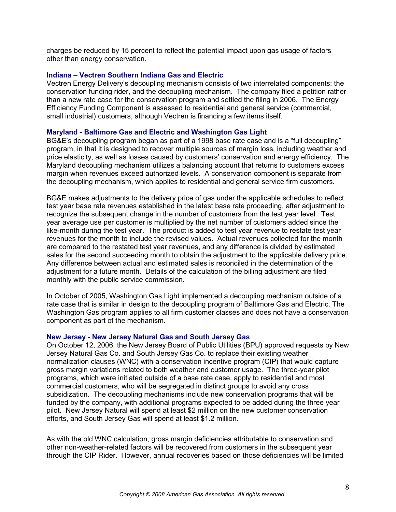charges be reduced by 15 percent to reflect the potential impact upon gas usage of factors other than energy conservation.

#### **Indiana ± Vectren Southern Indiana Gas and Electric**

Vectren Energy Delivery's decoupling mechanism consists of two interrelated components: the conservation funding rider, and the decoupling mechanism. The company filed a petition rather than a new rate case for the conservation program and settled the filing in 2006. The Energy Efficiency Funding Component is assessed to residential and general service (commercial, small industrial) customers, although Vectren is financing a few items itself.

#### **Maryland - Baltimore Gas and Electric and Washington Gas Light**

BG&E's decoupling program began as part of a 1998 base rate case and is a "full decoupling" program, in that it is designed to recover multiple sources of margin loss, including weather and price elasticity, as well as losses caused by customers' conservation and energy efficiency. The Maryland decoupling mechanism utilizes a balancing account that returns to customers excess margin when revenues exceed authorized levels. A conservation component is separate from the decoupling mechanism, which applies to residential and general service firm customers.

BG&E makes adjustments to the delivery price of gas under the applicable schedules to reflect test year base rate revenues established in the latest base rate proceeding, after adjustment to recognize the subsequent change in the number of customers from the test year level. Test year average use per customer is multiplied by the net number of customers added since the like-month during the test year. The product is added to test year revenue to restate test year revenues for the month to include the revised values. Actual revenues collected for the month are compared to the restated test year revenues, and any difference is divided by estimated sales for the second succeeding month to obtain the adjustment to the applicable delivery price. Any difference between actual and estimated sales is reconciled in the determination of the adjustment for a future month. Details of the calculation of the billing adjustment are filed monthly with the public service commission.

In October of 2005, Washington Gas Light implemented a decoupling mechanism outside of a rate case that is similar in design to the decoupling program of Baltimore Gas and Electric. The Washington Gas program applies to all firm customer classes and does not have a conservation component as part of the mechanism.

#### **New Jersey - New Jersey Natural Gas and South Jersey Gas**

On October 12, 2006, the New Jersey Board of Public Utilities (BPU) approved requests by New Jersey Natural Gas Co. and South Jersey Gas Co. to replace their existing weather normalization clauses (WNC) with a conservation incentive program (CIP) that would capture gross margin variations related to both weather and customer usage. The three-year pilot programs, which were initiated outside of a base rate case, apply to residential and most commercial customers, who will be segregated in distinct groups to avoid any cross subsidization. The decoupling mechanisms include new conservation programs that will be funded by the company, with additional programs expected to be added during the three year pilot. New Jersey Natural will spend at least \$2 million on the new customer conservation efforts, and South Jersey Gas will spend at least \$1.2 million.

As with the old WNC calculation, gross margin deficiencies attributable to conservation and other non-weather-related factors will be recovered from customers in the subsequent year through the CIP Rider. However, annual recoveries based on those deficiencies will be limited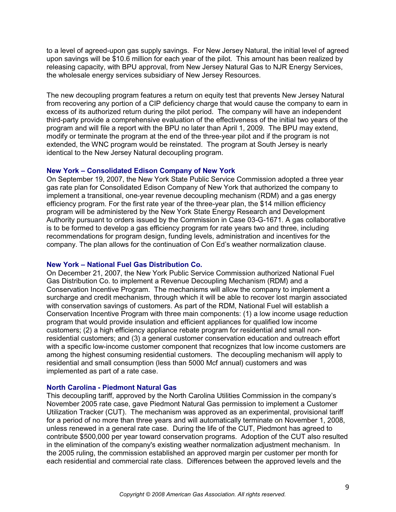to a level of agreed-upon gas supply savings. For New Jersey Natural, the initial level of agreed upon savings will be \$10.6 million for each year of the pilot. This amount has been realized by releasing capacity, with BPU approval, from New Jersey Natural Gas to NJR Energy Services, the wholesale energy services subsidiary of New Jersey Resources.

The new decoupling program features a return on equity test that prevents New Jersey Natural from recovering any portion of a CIP deficiency charge that would cause the company to earn in excess of its authorized return during the pilot period. The company will have an independent third-party provide a comprehensive evaluation of the effectiveness of the initial two years of the program and will file a report with the BPU no later than April 1, 2009. The BPU may extend, modify or terminate the program at the end of the three-year pilot and if the program is not extended, the WNC program would be reinstated. The program at South Jersey is nearly identical to the New Jersey Natural decoupling program.

#### **New York ± Consolidated Edison Company of New York**

On September 19, 2007, the New York State Public Service Commission adopted a three year gas rate plan for Consolidated Edison Company of New York that authorized the company to implement a transitional, one-year revenue decoupling mechanism (RDM) and a gas energy efficiency program. For the first rate year of the three-year plan, the \$14 million efficiency program will be administered by the New York State Energy Research and Development Authority pursuant to orders issued by the Commission in Case 03-G-1671. A gas collaborative is to be formed to develop a gas efficiency program for rate years two and three, including recommendations for program design, funding levels, administration and incentives for the company. The plan allows for the continuation of Con Ed's weather normalization clause.

#### **New York ± National Fuel Gas Distribution Co.**

On December 21, 2007, the New York Public Service Commission authorized National Fuel Gas Distribution Co. to implement a Revenue Decoupling Mechanism (RDM) and a Conservation Incentive Program. The mechanisms will allow the company to implement a surcharge and credit mechanism, through which it will be able to recover lost margin associated with conservation savings of customers. As part of the RDM, National Fuel will establish a Conservation Incentive Program with three main components: (1) a low income usage reduction program that would provide insulation and efficient appliances for qualified low income customers; (2) a high efficiency appliance rebate program for residential and small nonresidential customers; and (3) a general customer conservation education and outreach effort with a specific low-income customer component that recognizes that low income customers are among the highest consuming residential customers. The decoupling mechanism will apply to residential and small consumption (less than 5000 Mcf annual) customers and was implemented as part of a rate case.

#### **North Carolina - Piedmont Natural Gas**

This decoupling tariff, approved by the North Carolina Utilities Commission in the company's November 2005 rate case, gave Piedmont Natural Gas permission to implement a Customer Utilization Tracker (CUT). The mechanism was approved as an experimental, provisional tariff for a period of no more than three years and will automatically terminate on November 1, 2008, unless renewed in a general rate case. During the life of the CUT, Piedmont has agreed to contribute \$500,000 per year toward conservation programs. Adoption of the CUT also resulted in the elimination of the company's existing weather normalization adjustment mechanism. In the 2005 ruling, the commission established an approved margin per customer per month for each residential and commercial rate class. Differences between the approved levels and the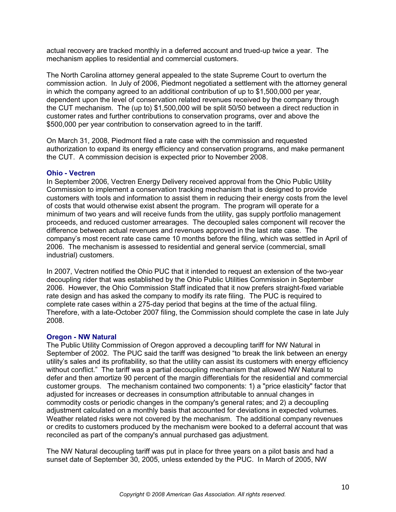actual recovery are tracked monthly in a deferred account and trued-up twice a year. The mechanism applies to residential and commercial customers.

The North Carolina attorney general appealed to the state Supreme Court to overturn the commission action. In July of 2006, Piedmont negotiated a settlement with the attorney general in which the company agreed to an additional contribution of up to \$1,500,000 per year, dependent upon the level of conservation related revenues received by the company through the CUT mechanism. The (up to) \$1,500,000 will be split 50/50 between a direct reduction in customer rates and further contributions to conservation programs, over and above the \$500,000 per year contribution to conservation agreed to in the tariff.

On March 31, 2008, Piedmont filed a rate case with the commission and requested authorization to expand its energy efficiency and conservation programs, and make permanent the CUT. A commission decision is expected prior to November 2008.

#### **Ohio - Vectren**

In September 2006, Vectren Energy Delivery received approval from the Ohio Public Utility Commission to implement a conservation tracking mechanism that is designed to provide customers with tools and information to assist them in reducing their energy costs from the level of costs that would otherwise exist absent the program. The program will operate for a minimum of two years and will receive funds from the utility, gas supply portfolio management proceeds, and reduced customer arrearages. The decoupled sales component will recover the difference between actual revenues and revenues approved in the last rate case. The company's most recent rate case came 10 months before the filing, which was settled in April of 2006. The mechanism is assessed to residential and general service (commercial, small industrial) customers.

In 2007, Vectren notified the Ohio PUC that it intended to request an extension of the two-year decoupling rider that was established by the Ohio Public Utilities Commission in September 2006. However, the Ohio Commission Staff indicated that it now prefers straight-fixed variable rate design and has asked the company to modify its rate filing. The PUC is required to complete rate cases within a 275-day period that begins at the time of the actual filing. Therefore, with a late-October 2007 filing, the Commission should complete the case in late July 2008.

#### **Oregon - NW Natural**

The Public Utility Commission of Oregon approved a decoupling tariff for NW Natural in September of 2002. The PUC said the tariff was designed "to break the link between an energy utility's sales and its profitability, so that the utility can assist its customers with energy efficiency without conflict." The tariff was a partial decoupling mechanism that allowed NW Natural to defer and then amortize 90 percent of the margin differentials for the residential and commercial customer groups. The mechanism contained two components: 1) a "price elasticity" factor that adjusted for increases or decreases in consumption attributable to annual changes in commodity costs or periodic changes in the company's general rates; and 2) a decoupling adjustment calculated on a monthly basis that accounted for deviations in expected volumes. Weather related risks were not covered by the mechanism. The additional company revenues or credits to customers produced by the mechanism were booked to a deferral account that was reconciled as part of the company's annual purchased gas adjustment.

The NW Natural decoupling tariff was put in place for three years on a pilot basis and had a sunset date of September 30, 2005, unless extended by the PUC. In March of 2005, NW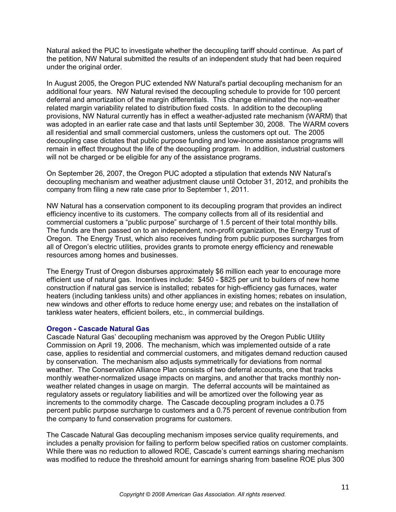Natural asked the PUC to investigate whether the decoupling tariff should continue. As part of the petition, NW Natural submitted the results of an independent study that had been required under the original order.

In August 2005, the Oregon PUC extended NW Natural's partial decoupling mechanism for an additional four years. NW Natural revised the decoupling schedule to provide for 100 percent deferral and amortization of the margin differentials. This change eliminated the non-weather related margin variability related to distribution fixed costs. In addition to the decoupling provisions, NW Natural currently has in effect a weather-adjusted rate mechanism (WARM) that was adopted in an earlier rate case and that lasts until September 30, 2008. The WARM covers all residential and small commercial customers, unless the customers opt out. The 2005 decoupling case dictates that public purpose funding and low-income assistance programs will remain in effect throughout the life of the decoupling program. In addition, industrial customers will not be charged or be eligible for any of the assistance programs.

On September 26, 2007, the Oregon PUC adopted a stipulation that extends NW Natural's decoupling mechanism and weather adjustment clause until October 31, 2012, and prohibits the company from filing a new rate case prior to September 1, 2011.

NW Natural has a conservation component to its decoupling program that provides an indirect efficiency incentive to its customers. The company collects from all of its residential and commercial customers a "public purpose" surcharge of 1.5 percent of their total monthly bills. The funds are then passed on to an independent, non-profit organization, the Energy Trust of Oregon. The Energy Trust, which also receives funding from public purposes surcharges from all of Oregon's electric utilities, provides grants to promote energy efficiency and renewable resources among homes and businesses.

The Energy Trust of Oregon disburses approximately \$6 million each year to encourage more efficient use of natural gas. Incentives include: \$450 - \$825 per unit to builders of new home construction if natural gas service is installed; rebates for high-efficiency gas furnaces, water heaters (including tankless units) and other appliances in existing homes; rebates on insulation, new windows and other efforts to reduce home energy use; and rebates on the installation of tankless water heaters, efficient boilers, etc., in commercial buildings.

#### **Oregon - Cascade Natural Gas**

Cascade Natural Gas' decoupling mechanism was approved by the Oregon Public Utility Commission on April 19, 2006. The mechanism, which was implemented outside of a rate case, applies to residential and commercial customers, and mitigates demand reduction caused by conservation. The mechanism also adjusts symmetrically for deviations from normal weather. The Conservation Alliance Plan consists of two deferral accounts, one that tracks monthly weather-normalized usage impacts on margins, and another that tracks monthly nonweather related changes in usage on margin. The deferral accounts will be maintained as regulatory assets or regulatory liabilities and will be amortized over the following year as increments to the commodity charge. The Cascade decoupling program includes a 0.75 percent public purpose surcharge to customers and a 0.75 percent of revenue contribution from the company to fund conservation programs for customers.

The Cascade Natural Gas decoupling mechanism imposes service quality requirements, and includes a penalty provision for failing to perform below specified ratios on customer complaints. While there was no reduction to allowed ROE, Cascade's current earnings sharing mechanism was modified to reduce the threshold amount for earnings sharing from baseline ROE plus 300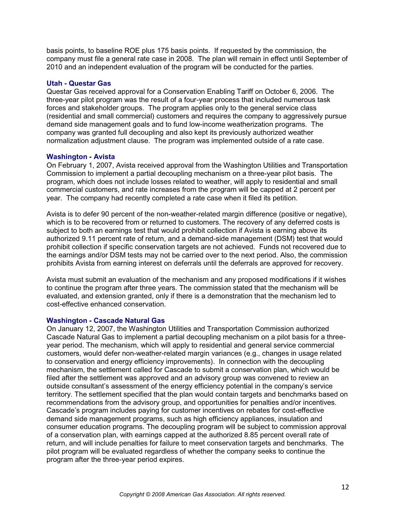basis points, to baseline ROE plus 175 basis points. If requested by the commission, the company must file a general rate case in 2008. The plan will remain in effect until September of 2010 and an independent evaluation of the program will be conducted for the parties.

#### **Utah - Questar Gas**

Questar Gas received approval for a Conservation Enabling Tariff on October 6, 2006. The three-year pilot program was the result of a four-year process that included numerous task forces and stakeholder groups. The program applies only to the general service class (residential and small commercial) customers and requires the company to aggressively pursue demand side management goals and to fund low-income weatherization programs. The company was granted full decoupling and also kept its previously authorized weather normalization adjustment clause. The program was implemented outside of a rate case.

#### **Washington - Avista**

On February 1, 2007, Avista received approval from the Washington Utilities and Transportation Commission to implement a partial decoupling mechanism on a three-year pilot basis. The program, which does not include losses related to weather, will apply to residential and small commercial customers, and rate increases from the program will be capped at 2 percent per year. The company had recently completed a rate case when it filed its petition.

Avista is to defer 90 percent of the non-weather-related margin difference (positive or negative), which is to be recovered from or returned to customers. The recovery of any deferred costs is subject to both an earnings test that would prohibit collection if Avista is earning above its authorized 9.11 percent rate of return, and a demand-side management (DSM) test that would prohibit collection if specific conservation targets are not achieved. Funds not recovered due to the earnings and/or DSM tests may not be carried over to the next period. Also, the commission prohibits Avista from earning interest on deferrals until the deferrals are approved for recovery.

Avista must submit an evaluation of the mechanism and any proposed modifications if it wishes to continue the program after three years. The commission stated that the mechanism will be evaluated, and extension granted, only if there is a demonstration that the mechanism led to cost-effective enhanced conservation.

#### **Washington - Cascade Natural Gas**

On January 12, 2007, the Washington Utilities and Transportation Commission authorized Cascade Natural Gas to implement a partial decoupling mechanism on a pilot basis for a threeyear period. The mechanism, which will apply to residential and general service commercial customers, would defer non-weather-related margin variances (e.g., changes in usage related to conservation and energy efficiency improvements). In connection with the decoupling mechanism, the settlement called for Cascade to submit a conservation plan, which would be filed after the settlement was approved and an advisory group was convened to review an outside consultant's assessment of the energy efficiency potential in the company's service territory. The settlement specified that the plan would contain targets and benchmarks based on recommendations from the advisory group, and opportunities for penalties and/or incentives. Cascade's program includes paying for customer incentives on rebates for cost-effective demand side management programs, such as high efficiency appliances, insulation and consumer education programs. The decoupling program will be subject to commission approval of a conservation plan, with earnings capped at the authorized 8.85 percent overall rate of return, and will include penalties for failure to meet conservation targets and benchmarks. The pilot program will be evaluated regardless of whether the company seeks to continue the program after the three-year period expires.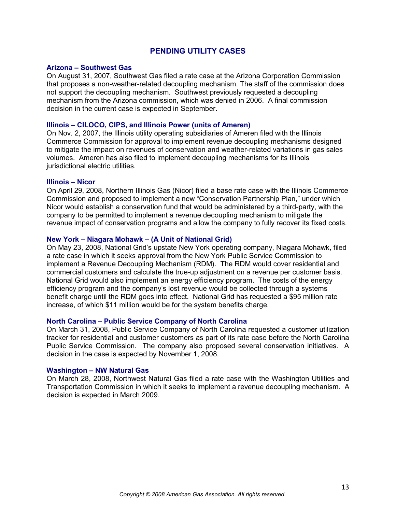#### **PENDING UTILITY CASES**

#### **Arizona ± Southwest Gas**

On August 31, 2007, Southwest Gas filed a rate case at the Arizona Corporation Commission that proposes a non-weather-related decoupling mechanism. The staff of the commission does not support the decoupling mechanism. Southwest previously requested a decoupling mechanism from the Arizona commission, which was denied in 2006. A final commission decision in the current case is expected in September.

#### **Illinois ± CILOCO, CIPS, and Illinois Power (units of Ameren)**

On Nov. 2, 2007, the Illinois utility operating subsidiaries of Ameren filed with the Illinois Commerce Commission for approval to implement revenue decoupling mechanisms designed to mitigate the impact on revenues of conservation and weather-related variations in gas sales volumes. Ameren has also filed to implement decoupling mechanisms for its Illinois jurisdictional electric utilities.

#### **Illinois ± Nicor**

On April 29, 2008, Northern Illinois Gas (Nicor) filed a base rate case with the Illinois Commerce Commission and proposed to implement a new "Conservation Partnership Plan," under which Nicor would establish a conservation fund that would be administered by a third-party, with the company to be permitted to implement a revenue decoupling mechanism to mitigate the revenue impact of conservation programs and allow the company to fully recover its fixed costs.

#### **New York ± Niagara Mohawk ± (A Unit of National Grid)**

On May 23, 2008, National Grid's upstate New York operating company, Niagara Mohawk, filed a rate case in which it seeks approval from the New York Public Service Commission to implement a Revenue Decoupling Mechanism (RDM). The RDM would cover residential and commercial customers and calculate the true-up adjustment on a revenue per customer basis. National Grid would also implement an energy efficiency program. The costs of the energy efficiency program and the company's lost revenue would be collected through a systems benefit charge until the RDM goes into effect. National Grid has requested a \$95 million rate increase, of which \$11 million would be for the system benefits charge.

#### **North Carolina ± Public Service Company of North Carolina**

On March 31, 2008, Public Service Company of North Carolina requested a customer utilization tracker for residential and customer customers as part of its rate case before the North Carolina Public Service Commission. The company also proposed several conservation initiatives. A decision in the case is expected by November 1, 2008.

#### **Washington ± NW Natural Gas**

On March 28, 2008, Northwest Natural Gas filed a rate case with the Washington Utilities and Transportation Commission in which it seeks to implement a revenue decoupling mechanism. A decision is expected in March 2009.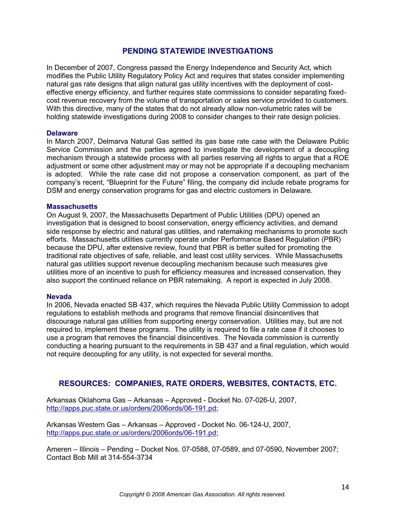#### **PENDING STATEWIDE INVESTIGATIONS**

In December of 2007, Congress passed the Energy Independence and Security Act, which modifies the Public Utility Regulatory Policy Act and requires that states consider implementing natural gas rate designs that align natural gas utility incentives with the deployment of costeffective energy efficiency, and further requires state commissions to consider separating fixedcost revenue recovery from the volume of transportation or sales service provided to customers. With this directive, many of the states that do not already allow non-volumetric rates will be holding statewide investigations during 2008 to consider changes to their rate design policies.

#### **Delaware**

In March 2007, Delmarva Natural Gas settled its gas base rate case with the Delaware Public Service Commission and the parties agreed to investigate the development of a decoupling mechanism through a statewide process with all parties reserving all rights to argue that a ROE adjustment or some other adjustment may or may not be appropriate if a decoupling mechanism is adopted. While the rate case did not propose a conservation component, as part of the company's recent. "Blueprint for the Future" filing, the company did include rebate programs for DSM and energy conservation programs for gas and electric customers in Delaware.

#### **Massachusetts**

On August 9, 2007, the Massachusetts Department of Public Utilities (DPU) opened an investigation that is designed to boost conservation, energy efficiency activities, and demand side response by electric and natural gas utilities, and ratemaking mechanisms to promote such efforts. Massachusetts utilities currently operate under Performance Based Regulation (PBR) because the DPU, after extensive review, found that PBR is better suited for promoting the traditional rate objectives of safe, reliable, and least cost utility services. While Massachusetts natural gas utilities support revenue decoupling mechanism because such measures give utilities more of an incentive to push for efficiency measures and increased conservation, they also support the continued reliance on PBR ratemaking. A report is expected in July 2008.

#### **Nevada**

In 2006, Nevada enacted SB 437, which requires the Nevada Public Utility Commission to adopt regulations to establish methods and programs that remove financial disincentives that discourage natural gas utilities from supporting energy conservation. Utilities may, but are not required to, implement these programs. The utility is required to file a rate case if it chooses to use a program that removes the financial disincentives. The Nevada commission is currently conducting a hearing pursuant to the requirements in SB 437 and a final regulation, which would not require decoupling for any utility, is not expected for several months.

#### **RESOURCES: COMPANIES, RATE ORDERS, WEBSITES, CONTACTS, ETC.**

Arkansas Oklahoma Gas - Arkansas - Approved - Docket No. 07-026-U, 2007, http://apps.puc.state.or.us/orders/2006ords/06-191.pd;

Arkansas Western Gas - Arkansas - Approved - Docket No. 06-124-U, 2007, http://apps.puc.state.or.us/orders/2006ords/06-191.pd;

Ameren  $-$  Illinois  $-$  Pending  $-$  Docket Nos. 07-0588, 07-0589, and 07-0590, November 2007; Contact Bob Mill at 314-554-3734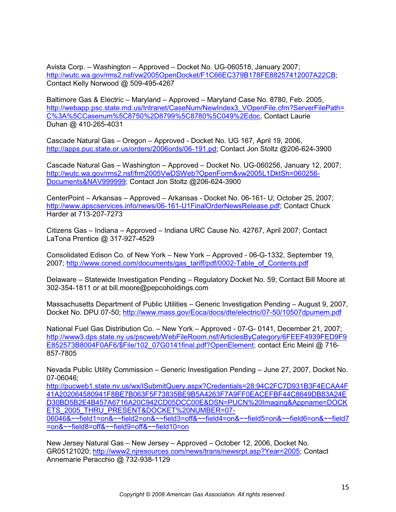Avista Corp. - Washington - Approved - Docket No. UG-060518, January 2007; http://wutc.wa.gov/rms2.nsf/vw2005OpenDocket/F1C66EC379B178FE88257412007A22CB; Contact Kelly Norwood @ 509-495-4267

Baltimore Gas & Electric - Maryland - Approved - Maryland Case No. 8780, Feb. 2005, http://webapp.psc.state.md.us/Intranet/CaseNum/NewIndex3\_VOpenFile.cfm?ServerFilePath= C%3A%5CCasenum%5C8750%2D8799%5C8780%5C049%2Edoc, Contact Laurie Duhan @ 410-265-4031

Cascade Natural Gas - Oregon - Approved - Docket No. UG 167, April 19, 2006, http://apps.puc.state.or.us/orders/2006ords/06-191.pd; Contact Jon Stoltz @206-624-3900

Cascade Natural Gas - Washington - Approved - Docket No. UG-060256, January 12, 2007; http://wutc.wa.gov/rms2.nsf/frm2005VwDSWeb?OpenForm&vw2005L1DktSh=060256- Documents&NAV999999; Contact Jon Stoltz @206-624-3900

CenterPoint - Arkansas - Approved - Arkansas - Docket No. 06-161- U; October 25, 2007; http://www.apscservices.info/news/06-161-U1FinalOrderNewsRelease.pdf; Contact Chuck Harder at 713-207-7273

Citizens Gas - Indiana - Approved - Indiana URC Cause No. 42767, April 2007; Contact LaTona Prentice @ 317-927-4529

Consolidated Edison Co. of New York - New York - Approved - 06-G-1332, September 19, 2007; http://www.coned.com/documents/gas\_tariff/pdf/0002-Table\_of\_Contents.pdf

Delaware - Statewide Investigation Pending - Regulatory Docket No. 59; Contact Bill Moore at 302-354-1811 or at bill.moore@pepcoholdings.com

Massachusetts Department of Public Utilities  $-$  Generic Investigation Pending  $-$  August 9, 2007, Docket No. DPU 07-50; http://www.mass.gov/Eoca/docs/dte/electric/07-50/10507dpumem.pdf

National Fuel Gas Distribution Co. - New York - Approved - 07-G- 0141, December 21, 2007; http://www3.dps.state.ny.us/pscweb/WebFileRoom.nsf/ArticlesByCategory/6FEEF4939FED9F9 E852573B8004F0AF6/\$File/102\_07G0141final.pdf?OpenElement; contact Eric Meinl @ 716-857-7805

Nevada Public Utility Commission - Generic Investigation Pending - June 27, 2007, Docket No. 07-06046;

http://pucweb1.state.nv.us/wx/ISubmitQuery.aspx?Credentials=28:94C2FC7D931B3F4ECAA4F 41A202064580941F8BE7B063F5F73835BE9B5A4263F7A9FF0EACEFBF44C8649DB83A24E D30BD5B2E4B457A6716A20C942CD05DCC00E&DSN=PUCN%20Imaging&Appname=DOCK ETS 2005 THRU PRESENT&DOCKET%20NUMBER=07-

06046&~~field1=on&~~field2=on&~~field3=off&~~field4=on&~~field5=on&~~field6=on&~~field7 =on&~~field8=off&~~field9=off&~~field10=on

New Jersey Natural Gas - New Jersey - Approved - October 12, 2006, Docket No. GR05121020; http://www2.njresources.com/news/trans/newsrpt.asp?Year=2005; Contact Annemarie Peracchio @ 732-938-1129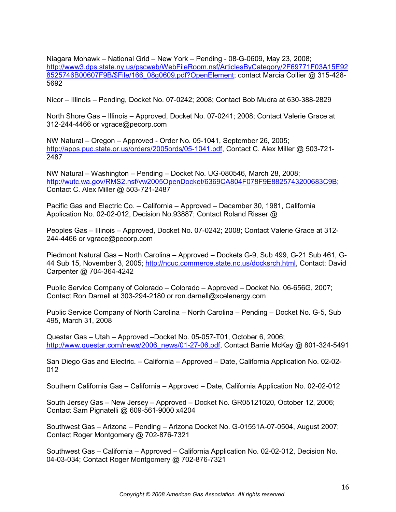Niagara Mohawk  $-$  National Grid  $-$  New York  $-$  Pending  $-$  08-G-0609, May 23, 2008; http://www3.dps.state.ny.us/pscweb/WebFileRoom.nsf/ArticlesByCategory/2F69771F03A15E92 8525746B00607F9B/\$File/166\_08g0609.pdf?OpenElement; contact Marcia Collier @ 315-428- 5692

Nicor - Illinois - Pending, Docket No. 07-0242; 2008; Contact Bob Mudra at 630-388-2829

North Shore Gas - Illinois - Approved, Docket No. 07-0241; 2008; Contact Valerie Grace at 312-244-4466 or vgrace@pecorp.com

NW Natural - Oregon - Approved - Order No. 05-1041, September 26, 2005; http://apps.puc.state.or.us/orders/2005ords/05-1041.pdf, Contact C. Alex Miller @ 503-721- 2487

NW Natural - Washington - Pending - Docket No. UG-080546, March 28, 2008; http://wutc.wa.gov/RMS2.nsf/vw2005OpenDocket/6369CA804F078F9E8825743200683C9B; Contact C. Alex Miller @ 503-721-2487

Pacific Gas and Electric Co. - California - Approved - December 30, 1981, California Application No. 02-02-012, Decision No.93887; Contact Roland Risser @

Peoples Gas - Illinois - Approved, Docket No. 07-0242; 2008; Contact Valerie Grace at 312-244-4466 or vgrace@pecorp.com

Piedmont Natural Gas - North Carolina - Approved - Dockets G-9, Sub 499, G-21 Sub 461, G-44 Sub 15, November 3, 2005; http://ncuc.commerce.state.nc.us/docksrch.html, Contact: David Carpenter @ 704-364-4242

Public Service Company of Colorado - Colorado - Approved - Docket No. 06-656G, 2007; Contact Ron Darnell at 303-294-2180 or ron.darnell@xcelenergy.com

Public Service Company of North Carolina - North Carolina - Pending - Docket No. G-5, Sub 495, March 31, 2008

Questar Gas - Utah - Approved - Docket No. 05-057-T01, October 6, 2006; http://www.questar.com/news/2006\_news/01-27-06.pdf, Contact Barrie McKay @ 801-324-5491

San Diego Gas and Electric. - California - Approved - Date, California Application No. 02-02-012

Southern California Gas - California - Approved - Date, California Application No. 02-02-012

South Jersey Gas  $-$  New Jersey  $-$  Approved  $-$  Docket No. GR05121020, October 12, 2006; Contact Sam Pignatelli @ 609-561-9000 x4204

Southwest Gas - Arizona - Pending - Arizona Docket No. G-01551A-07-0504, August 2007; Contact Roger Montgomery @ 702-876-7321

Southwest Gas - California - Approved - California Application No. 02-02-012, Decision No. 04-03-034; Contact Roger Montgomery @ 702-876-7321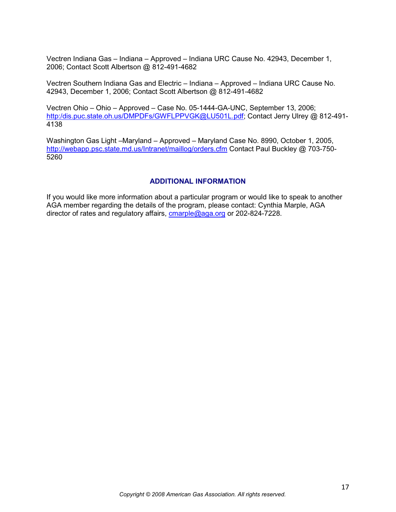Vectren Indiana Gas - Indiana - Approved - Indiana URC Cause No. 42943, December 1, 2006; Contact Scott Albertson @ 812-491-4682

Vectren Southern Indiana Gas and Electric - Indiana - Approved - Indiana URC Cause No. 42943, December 1, 2006; Contact Scott Albertson @ 812-491-4682

Vectren Ohio - Ohio - Approved - Case No. 05-1444-GA-UNC, September 13, 2006; http:/dis.puc.state.oh.us/DMPDFs/GWFLPPVGK@LU501L.pdf; Contact Jerry Ulrey @ 812-491-4138

Washington Gas Light -Maryland - Approved - Maryland Case No. 8990, October 1, 2005, http://webapp.psc.state.md.us/Intranet/maillog/orders.cfm Contact Paul Buckley @ 703-750- 5260

#### **ADDITIONAL INFORMATION**

If you would like more information about a particular program or would like to speak to another AGA member regarding the details of the program, please contact: Cynthia Marple, AGA director of rates and regulatory affairs, cmarple@aga.org or 202-824-7228.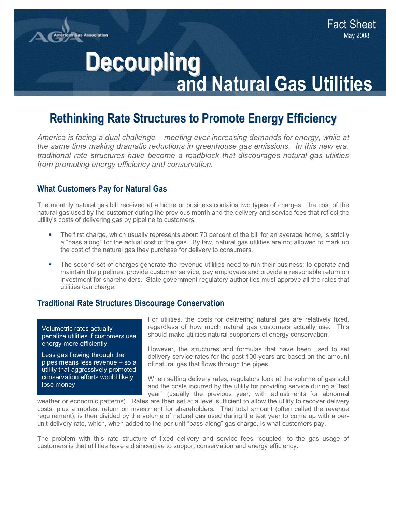

# **Decoupling<br>and Natural Gas Utilities**

# **Rethinking Rate Structures to Promote Energy Efficiency**

*America is facing a dual challenge – meeting ever-increasing demands for energy, while at the same time making dramatic reductions in greenhouse gas emissions. In this new era, traditional rate structures have become a roadblock that discourages natural gas utilities I*rom promoting energy efficiency and conservation.

# **What Customers Pay for Natural Gas**

The monthly natural gas bill received at a home or business contains two types of charges: the cost of the natural gas used by the customer during the previous month and the delivery and service fees that reflect the utility's costs of delivering gas by pipeline to customers.

- The first charge, which usually represents about 70 percent of the bill for an average home, is strictly a "pass along" for the actual cost of the gas. By law, natural gas utilities are not allowed to mark up the cost of the natural gas they purchase for delivery to consumers.
- The second set of charges generate the revenue utilities need to run their business: to operate and maintain the pipelines, provide customer service, pay employees and provide a reasonable return on investment for shareholders. State government regulatory authorities must approve all the rates that utilities can charge.

## **Traditional Rate Structures Discourage Conservation**

Volumetric rates actually penalize utilities if customers use energy more efficiently:

Less gas flowing through the pipes means less revenue  $-$  so a utility that aggressively promoted conservation efforts would likely lose money

For utilities, the costs for delivering natural gas are relatively fixed, regardless of how much natural gas customers actually use. This should make utilities natural supporters of energy conservation.

However, the structures and formulas that have been used to set delivery service rates for the past 100 years are based on the amount of natural gas that flows through the pipes.

When setting delivery rates, regulators look at the volume of gas sold and the costs incurred by the utility for providing service during a "test year" (usually the previous year, with adjustments for abnormal

weather or economic patterns). Rates are then set at a level sufficient to allow the utility to recover delivery costs, plus a modest return on investment for shareholders. That total amount (often called the revenue requirement), is then divided by the volume of natural gas used during the test year to come up with a perunit delivery rate, which, when added to the per-unit "pass-along" gas charge, is what customers pay.

The problem with this rate structure of fixed delivery and service fees "coupled" to the gas usage of customers is that utilities have a disincentive to support conservation and energy efficiency.